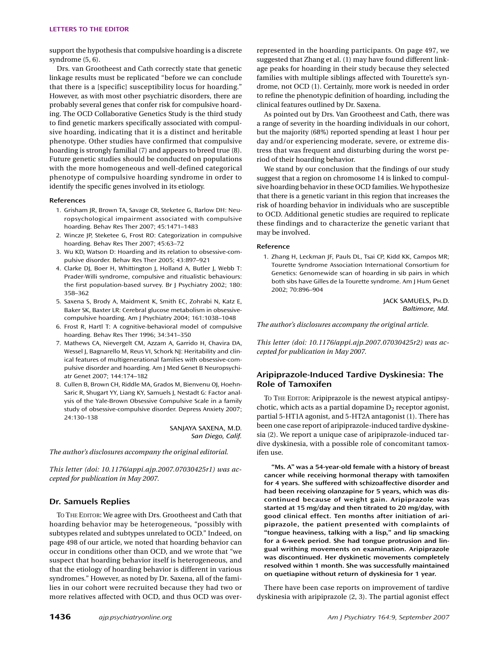support the hypothesis that compulsive hoarding is a discrete syndrome (5, 6).

Drs. van Grootheest and Cath correctly state that genetic linkage results must be replicated "before we can conclude that there is a [specific] susceptibility locus for hoarding." However, as with most other psychiatric disorders, there are probably several genes that confer risk for compulsive hoarding. The OCD Collaborative Genetics Study is the third study to find genetic markers specifically associated with compulsive hoarding, indicating that it is a distinct and heritable phenotype. Other studies have confirmed that compulsive hoarding is strongly familial (7) and appears to breed true (8). Future genetic studies should be conducted on populations with the more homogeneous and well-defined categorical phenotype of compulsive hoarding syndrome in order to identify the specific genes involved in its etiology.

## **References**

- 1. Grisham JR, Brown TA, Savage CR, Steketee G, Barlow DH: Neuropsychological impairment associated with compulsive hoarding. Behav Res Ther 2007; 45:1471–1483
- 2. Wincze JP, Steketee G, Frost RO: Categorization in compulsive hoarding. Behav Res Ther 2007; 45:63–72
- 3. Wu KD, Watson D: Hoarding and its relation to obsessive-compulsive disorder. Behav Res Ther 2005; 43:897–921
- 4. Clarke DJ, Boer H, Whittington J, Holland A, Butler J, Webb T: Prader-Willi syndrome, compulsive and ritualistic behaviours: the first population-based survey. Br J Psychiatry 2002; 180: 358–362
- 5. Saxena S, Brody A, Maidment K, Smith EC, Zohrabi N, Katz E, Baker SK, Baxter LR: Cerebral glucose metabolism in obsessivecompulsive hoarding. Am J Psychiatry 2004; 161:1038–1048
- 6. Frost R, Hartl T: A cognitive-behavioral model of compulsive hoarding. Behav Res Ther 1996; 34:341–350
- 7. Mathews CA, Nievergelt CM, Azzam A, Garrido H, Chavira DA, Wessel J, Bagnarello M, Reus VI, Schork NJ: Heritability and clinical features of multigenerational families with obsessive-compulsive disorder and hoarding. Am J Med Genet B Neuropsychiatr Genet 2007; 144:174–182
- 8. Cullen B, Brown CH, Riddle MA, Grados M, Bienvenu OJ, Hoehn-Saric R, Shugart YY, Liang KY, Samuels J, Nestadt G: Factor analysis of the Yale-Brown Obsessive Compulsive Scale in a family study of obsessive-compulsive disorder. Depress Anxiety 2007; 24:130–138

SANJAYA SAXENA, M.D. *San Diego, Calif.*

*The author's disclosures accompany the original editorial.*

*This letter (doi: 10.1176/appi.ajp.2007.07030425r1) was accepted for publication in May 2007.*

# **Dr. Samuels Replies**

TO THE EDITOR: We agree with Drs. Grootheest and Cath that hoarding behavior may be heterogeneous, "possibly with subtypes related and subtypes unrelated to OCD." Indeed, on page 498 of our article, we noted that hoarding behavior can occur in conditions other than OCD, and we wrote that "we suspect that hoarding behavior itself is heterogeneous, and that the etiology of hoarding behavior is different in various syndromes." However, as noted by Dr. Saxena, all of the families in our cohort were recruited because they had two or more relatives affected with OCD, and thus OCD was overrepresented in the hoarding participants. On page 497, we suggested that Zhang et al. (1) may have found different linkage peaks for hoarding in their study because they selected families with multiple siblings affected with Tourette's syndrome, not OCD (1). Certainly, more work is needed in order to refine the phenotypic definition of hoarding, including the clinical features outlined by Dr. Saxena.

As pointed out by Drs. Van Grootheest and Cath, there was a range of severity in the hoarding individuals in our cohort, but the majority (68%) reported spending at least 1 hour per day and/or experiencing moderate, severe, or extreme distress that was frequent and disturbing during the worst period of their hoarding behavior.

We stand by our conclusion that the findings of our study suggest that a region on chromosome 14 is linked to compulsive hoarding behavior in these OCD families. We hypothesize that there is a genetic variant in this region that increases the risk of hoarding behavior in individuals who are susceptible to OCD. Additional genetic studies are required to replicate these findings and to characterize the genetic variant that may be involved.

#### **Reference**

1. Zhang H, Leckman JF, Pauls DL, Tsai CP, Kidd KK, Campos MR; Tourette Syndrome Association International Consortium for Genetics: Genomewide scan of hoarding in sib pairs in which both sibs have Gilles de la Tourette syndrome. Am J Hum Genet 2002; 70:896–904

> JACK SAMUELS, PH.D. *Baltimore, Md.*

*The author's disclosures accompany the original article.*

*This letter (doi: 10.1176/appi.ajp.2007.07030425r2) was accepted for publication in May 2007.*

# **Aripiprazole-Induced Tardive Dyskinesia: The Role of Tamoxifen**

TO THE EDITOR: Aripiprazole is the newest atypical antipsychotic, which acts as a partial dopamine  $D_2$  receptor agonist, partial 5-HT1A agonist, and 5-HT2A antagonist (1). There has been one case report of aripiprazole-induced tardive dyskinesia (2). We report a unique case of aripiprazole-induced tardive dyskinesia, with a possible role of concomitant tamoxifen use.

**"Ms. A" was a 54-year-old female with a history of breast cancer while receiving hormonal therapy with tamoxifen for 4 years. She suffered with schizoaffective disorder and had been receiving olanzapine for 5 years, which was discontinued because of weight gain. Aripiprazole was started at 15 mg/day and then titrated to 20 mg/day, with good clinical effect. Ten months after initiation of aripiprazole, the patient presented with complaints of "tongue heaviness, talking with a lisp," and lip smacking for a 6-week period. She had tongue protrusion and lingual writhing movements on examination. Aripiprazole was discontinued. Her dyskinetic movements completely resolved within 1 month. She was successfully maintained on quetiapine without return of dyskinesia for 1 year.**

There have been case reports on improvement of tardive dyskinesia with aripiprazole (2, 3). The partial agonist effect